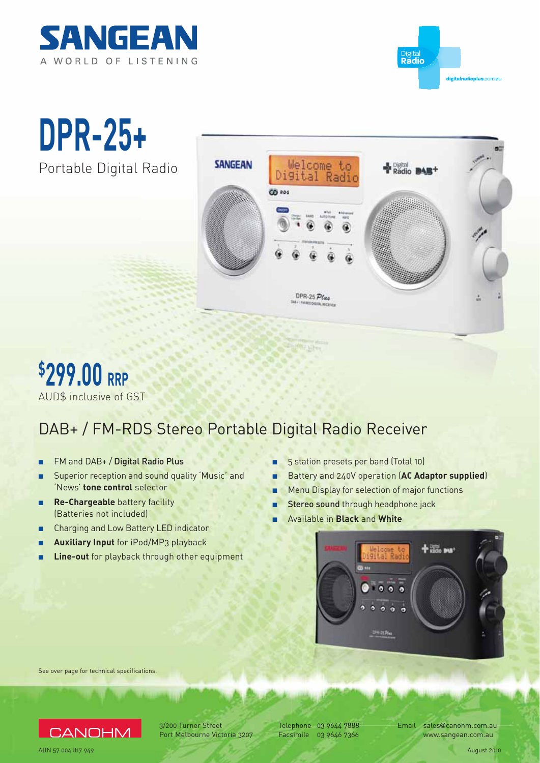



**DPR-25+** Portable Digital Radio





## DAB+ / FM-RDS Stereo Portable Digital Radio Receiver

- FM and DAB+ / Digital Radio Plus
- Superior reception and sound quality 'Music' and 'News' **tone control** selector
- **Re-Chargeable** battery facility (Batteries not included)
- Charging and Low Battery LED indicator
- **Auxiliary Input** for iPod/MP3 playback
- **Example 2 Line-out** for playback through other equipment
- 5 station presets per band (Total 10)
- Battery and 240V operation (AC Adaptor supplied)
- Menu Display for selection of major functions
- Stereo sound through headphone jack
- Available in **Black** and White



See over page for technical specifications.



3/200 Turner Street Port Melbourne Victoria 3207

Telephone 03 9644 7888 Facsimile 03 9646 7366

phone 03 9644 7888 Email sales@canohm.com.au www.sangean.com.au